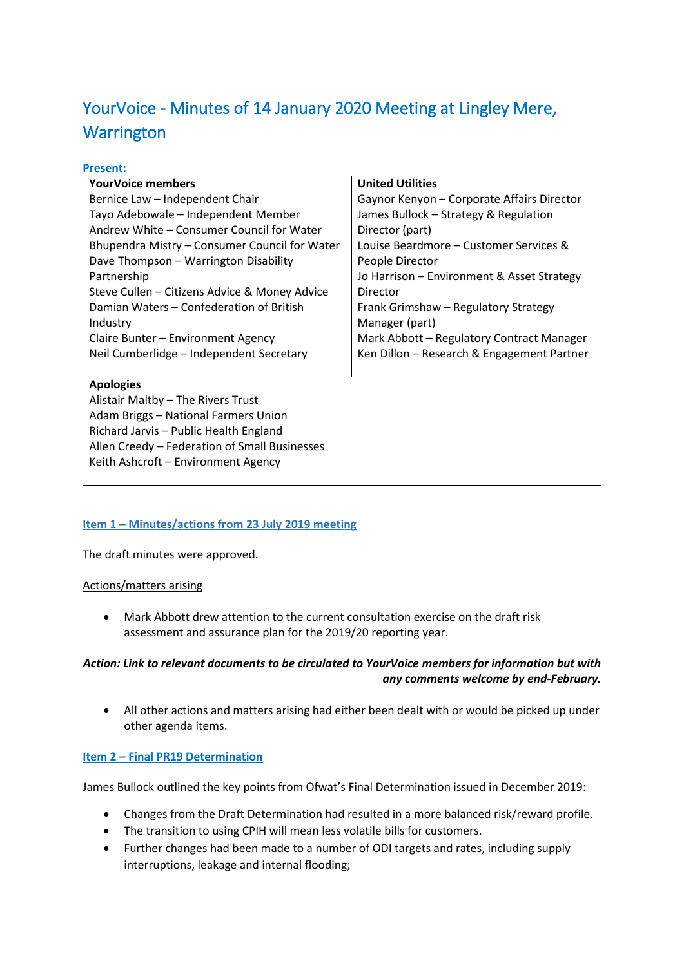# YourVoice - Minutes of 14 January 2020 Meeting at Lingley Mere, **Warrington**

| <b>YourVoice members</b>                      | <b>United Utilities</b>                    |
|-----------------------------------------------|--------------------------------------------|
| Bernice Law - Independent Chair               | Gaynor Kenyon - Corporate Affairs Director |
| Tayo Adebowale - Independent Member           | James Bullock – Strategy & Regulation      |
| Andrew White – Consumer Council for Water     | Director (part)                            |
| Bhupendra Mistry - Consumer Council for Water | Louise Beardmore - Customer Services &     |
| Dave Thompson - Warrington Disability         | People Director                            |
| Partnership                                   | Jo Harrison - Environment & Asset Strategy |
| Steve Cullen - Citizens Advice & Money Advice | Director                                   |
| Damian Waters - Confederation of British      | Frank Grimshaw - Regulatory Strategy       |
| Industry                                      | Manager (part)                             |
| Claire Bunter - Environment Agency            | Mark Abbott - Regulatory Contract Manager  |
| Neil Cumberlidge - Independent Secretary      | Ken Dillon – Research & Engagement Partner |
|                                               |                                            |
| <b>Apologies</b>                              |                                            |
| Alistair Maltby - The Rivers Trust            |                                            |
| Adam Briggs - National Farmers Union          |                                            |
| Richard Jarvis - Public Health England        |                                            |
| Allen Creedy - Federation of Small Businesses |                                            |
| Keith Ashcroft - Environment Agency           |                                            |
|                                               |                                            |

## **Item 1 – Minutes/actions from 23 July 2019 meeting**

The draft minutes were approved.

#### Actions/matters arising

 Mark Abbott drew attention to the current consultation exercise on the draft risk assessment and assurance plan for the 2019/20 reporting year.

## *Action: Link to relevant documents to be circulated to YourVoice members for information but with any comments welcome by end-February.*

 All other actions and matters arising had either been dealt with or would be picked up under other agenda items.

## **Item 2 – Final PR19 Determination**

James Bullock outlined the key points from Ofwat's Final Determination issued in December 2019:

- Changes from the Draft Determination had resulted in a more balanced risk/reward profile.
- The transition to using CPIH will mean less volatile bills for customers.
- Further changes had been made to a number of ODI targets and rates, including supply interruptions, leakage and internal flooding;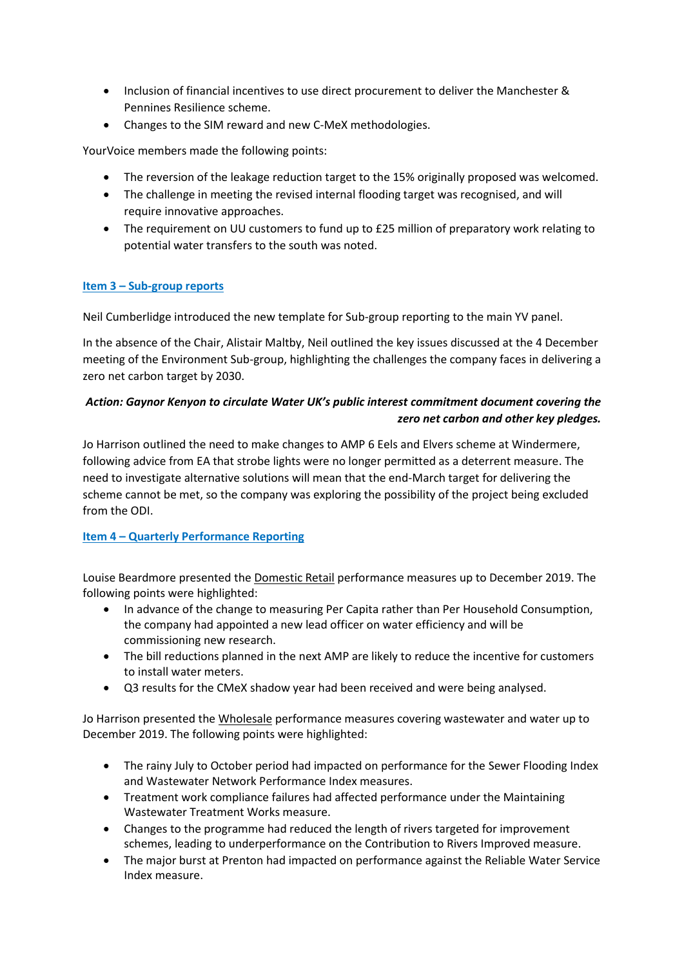- Inclusion of financial incentives to use direct procurement to deliver the Manchester & Pennines Resilience scheme.
- Changes to the SIM reward and new C-MeX methodologies.

YourVoice members made the following points:

- The reversion of the leakage reduction target to the 15% originally proposed was welcomed.
- The challenge in meeting the revised internal flooding target was recognised, and will require innovative approaches.
- The requirement on UU customers to fund up to £25 million of preparatory work relating to potential water transfers to the south was noted.

## **Item 3 – Sub-group reports**

Neil Cumberlidge introduced the new template for Sub-group reporting to the main YV panel.

In the absence of the Chair, Alistair Maltby, Neil outlined the key issues discussed at the 4 December meeting of the Environment Sub-group, highlighting the challenges the company faces in delivering a zero net carbon target by 2030.

## *Action: Gaynor Kenyon to circulate Water UK's public interest commitment document covering the zero net carbon and other key pledges.*

Jo Harrison outlined the need to make changes to AMP 6 Eels and Elvers scheme at Windermere, following advice from EA that strobe lights were no longer permitted as a deterrent measure. The need to investigate alternative solutions will mean that the end-March target for delivering the scheme cannot be met, so the company was exploring the possibility of the project being excluded from the ODI.

# **Item 4 – Quarterly Performance Reporting**

Louise Beardmore presented the Domestic Retail performance measures up to December 2019. The following points were highlighted:

- In advance of the change to measuring Per Capita rather than Per Household Consumption, the company had appointed a new lead officer on water efficiency and will be commissioning new research.
- The bill reductions planned in the next AMP are likely to reduce the incentive for customers to install water meters.
- Q3 results for the CMeX shadow year had been received and were being analysed.

Jo Harrison presented the Wholesale performance measures covering wastewater and water up to December 2019. The following points were highlighted:

- The rainy July to October period had impacted on performance for the Sewer Flooding Index and Wastewater Network Performance Index measures.
- Treatment work compliance failures had affected performance under the Maintaining Wastewater Treatment Works measure.
- Changes to the programme had reduced the length of rivers targeted for improvement schemes, leading to underperformance on the Contribution to Rivers Improved measure.
- The major burst at Prenton had impacted on performance against the Reliable Water Service Index measure.